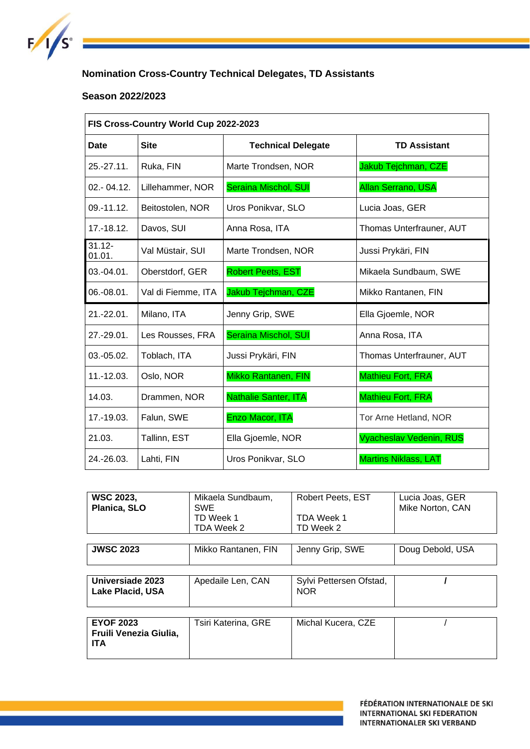

# **Nomination Cross-Country Technical Delegates, TD Assistants**

### **Season 2022/2023**

| FIS Cross-Country World Cup 2022-2023 |                    |                             |                                |  |
|---------------------------------------|--------------------|-----------------------------|--------------------------------|--|
| Date                                  | <b>Site</b>        | <b>Technical Delegate</b>   | <b>TD Assistant</b>            |  |
| $25.-27.11.$                          | Ruka, FIN          | Marte Trondsen, NOR         | Jakub Tejchman, CZE            |  |
| 02.-04.12.                            | Lillehammer, NOR   | <b>Seraina Mischol, SUI</b> | <b>Allan Serrano, USA</b>      |  |
| $09 - 11.12$ .                        | Beitostolen, NOR   | Uros Ponikvar, SLO          | Lucia Joas, GER                |  |
| $17.-18.12.$                          | Davos, SUI         | Anna Rosa, ITA              | Thomas Unterfrauner, AUT       |  |
| $31.12 -$<br>01.01.                   | Val Müstair, SUI   | Marte Trondsen, NOR         | Jussi Prykäri, FIN             |  |
| $03.-04.01.$                          | Oberstdorf, GER    | <b>Robert Peets, EST</b>    | Mikaela Sundbaum, SWE          |  |
| 06.-08.01.                            | Val di Fiemme, ITA | Jakub Tejchman, CZE         | Mikko Rantanen, FIN            |  |
| $21.-22.01.$                          | Milano, ITA        | Jenny Grip, SWE             | Ella Gjoemle, NOR              |  |
| 27.-29.01.                            | Les Rousses, FRA   | <b>Seraina Mischol, SUI</b> | Anna Rosa, ITA                 |  |
| 03.-05.02.                            | Toblach, ITA       | Jussi Prykäri, FIN          | Thomas Unterfrauner, AUT       |  |
| 11.-12.03.                            | Oslo, NOR          | Mikko Rantanen, FIN         | <b>Mathieu Fort, FRA</b>       |  |
| 14.03.                                | Drammen, NOR       | <b>Nathalie Santer, ITA</b> | Mathieu Fort, FRA              |  |
| 17.-19.03.                            | Falun, SWE         | Enzo Macor, ITA             | Tor Arne Hetland, NOR          |  |
| 21.03.                                | Tallinn, EST       | Ella Gjoemle, NOR           | <b>Vyacheslav Vedenin, RUS</b> |  |
| 24.-26.03.                            | Lahti, FIN         | Uros Ponikvar, SLO          | <b>Martins Niklass, LAT</b>    |  |

| <b>WSC 2023.</b><br>Planica, SLO                         | Mikaela Sundbaum.<br><b>SWE</b> | <b>Robert Peets, EST</b>              | Lucia Joas, GER<br>Mike Norton, CAN |
|----------------------------------------------------------|---------------------------------|---------------------------------------|-------------------------------------|
|                                                          | TD Week 1<br>TDA Week 2         | TDA Week 1<br>TD Week 2               |                                     |
|                                                          |                                 |                                       |                                     |
| <b>JWSC 2023</b>                                         | Mikko Rantanen, FIN             | Jenny Grip, SWE                       | Doug Debold, USA                    |
|                                                          |                                 |                                       |                                     |
| Universiade 2023<br><b>Lake Placid, USA</b>              | Apedaile Len, CAN               | Sylvi Pettersen Ofstad,<br><b>NOR</b> |                                     |
|                                                          |                                 |                                       |                                     |
| <b>EYOF 2023</b><br>Fruili Venezia Giulia.<br><b>ITA</b> | Tsiri Katerina, GRE             | Michal Kucera, CZE                    |                                     |